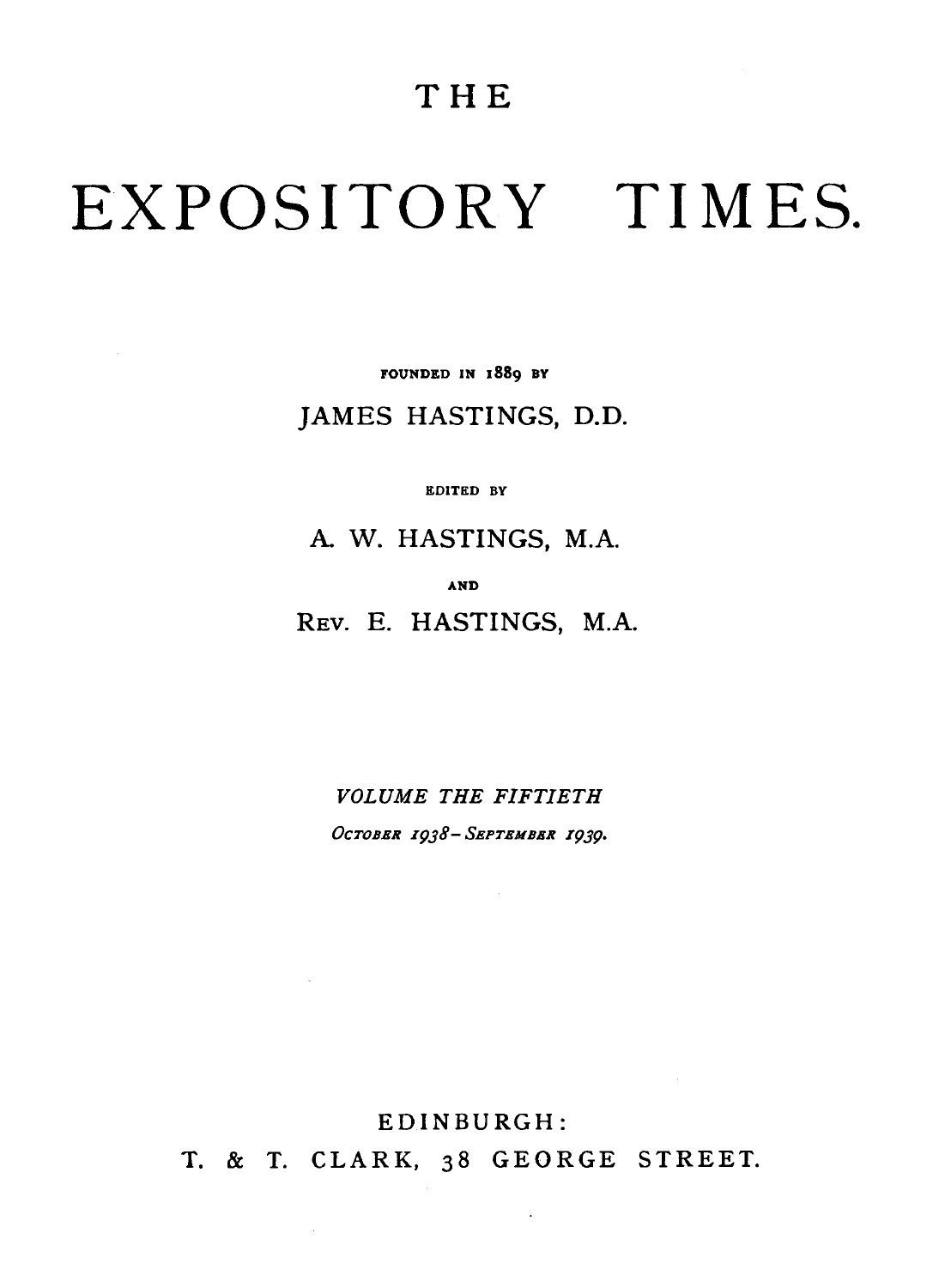## **THE**

# EXPOSITORY TIMES.

FOUNDED IN 1889 BY

JAMES HASTINGS, D.D.

EDITED BY

A W. HASTINGS, M.A.

AND

REv. E. HASTINGS, M.A.

*VOLUME THE FIFTIETH OcTOBER I9J8-SEPTEMBER I9J9·* 

EDINBURGH:

 $\sim 10^{-1}$ 

 $\sim$ 

T. & T. CLARK, 38 GEORGE STREET.

 $\ddot{\phantom{a}}$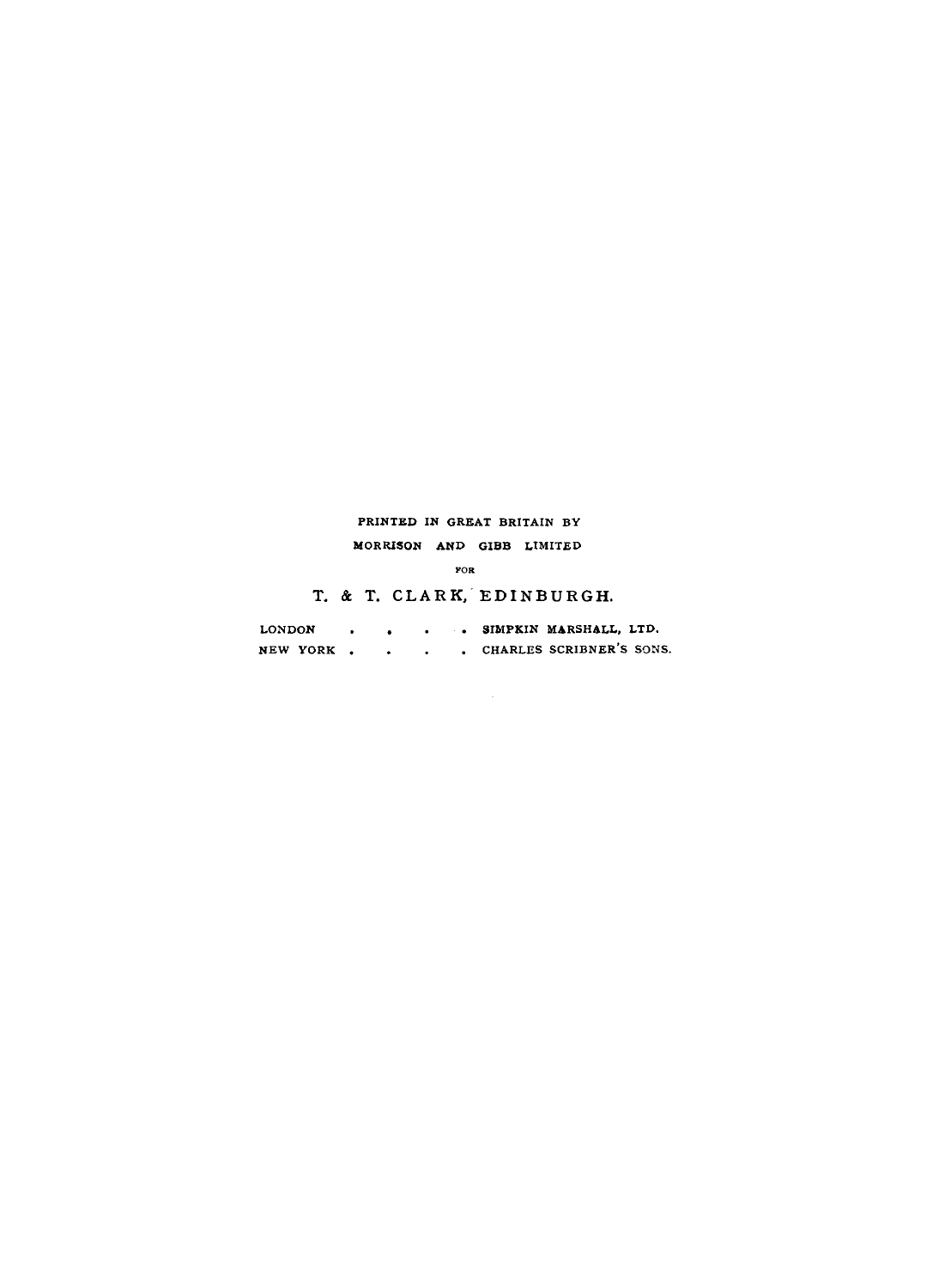#### PRINTED IN GREAT BRITAIN BY MORRISON AND GIBB LIMITED

YOR

T. & T. CLARK, EDINBURGH.

| LONDON   |  |  | . SIMPKIN MARSHALL, LTD. |
|----------|--|--|--------------------------|
| NEW YORK |  |  | CHARLES SCRIBNER'S SONS. |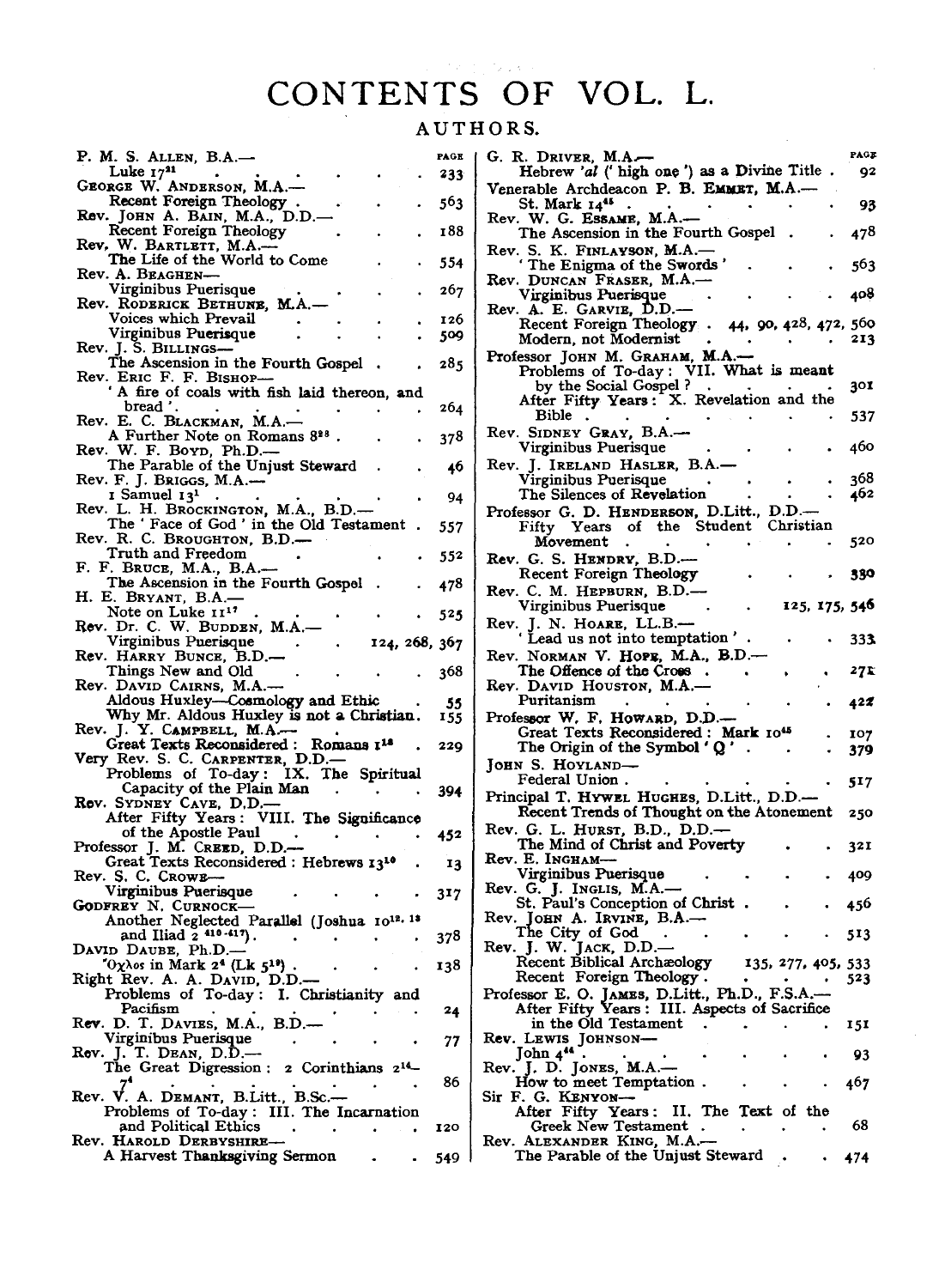## **CONTENTS OF VOL. L.**

## AUTHORS.

| P. M. S. ALLEN, B.A.—                                                                                                              |  |               | PAGE |
|------------------------------------------------------------------------------------------------------------------------------------|--|---------------|------|
| Luke $17^{21}$                                                                                                                     |  |               | 233  |
| GEORGE W. ANDERSON, M.A.-                                                                                                          |  |               |      |
| Recent Foreign Theology                                                                                                            |  |               | 563  |
| Rev. JOHN A. BAIN, M.A., D.D.-                                                                                                     |  |               |      |
| Recent Foreign Theology                                                                                                            |  |               | 188  |
|                                                                                                                                    |  |               |      |
| Rev. W. BARTLETT, M.A. <sup>11</sup><br>The Life of the World to Come                                                              |  |               |      |
| Rev. A. Beaghen-                                                                                                                   |  |               | 554  |
|                                                                                                                                    |  |               |      |
| Virginibus Puerisque                                                                                                               |  |               | 267  |
| Rev. RODERICK BETHUNE, M.A.-                                                                                                       |  |               |      |
| Voices which Prevail                                                                                                               |  |               | 126  |
| Virginibus Puerisque                                                                                                               |  |               | 509  |
| Rev. J. S. Billings—                                                                                                               |  |               |      |
| The Ascension in the Fourth Gospel                                                                                                 |  |               | 285  |
| Rev. Eric F. F. Bishop-                                                                                                            |  |               |      |
| ' A fire of coals with fish laid thereon, and                                                                                      |  |               |      |
| bread'.                                                                                                                            |  |               | 264  |
| Rev. E. C. BLACKMAN, M.A.-                                                                                                         |  |               |      |
| A Further Note on Romans 828.                                                                                                      |  |               | 378  |
| Rev. W. F. Boyn, Ph.D.-                                                                                                            |  |               |      |
| The Parable of the Unjust Steward                                                                                                  |  |               | 46   |
| Rev. F. J. Briggs, M.A.---                                                                                                         |  |               |      |
| I Samuel 13 <sup>1</sup>                                                                                                           |  |               |      |
| $\bullet$<br>Rev. L. H. BROCKINGTON, M.A., B.D.-                                                                                   |  |               | 94   |
| The 'Face of God' in the Old Testament                                                                                             |  |               |      |
|                                                                                                                                    |  |               | 557  |
| Rev. R. C. Broughton, B.D.—                                                                                                        |  |               |      |
| Truth and Freedom                                                                                                                  |  |               | 552  |
| F. BRUCE, M.A., B.A.-<br>F.                                                                                                        |  |               |      |
| The Ascension in the Fourth Gospel                                                                                                 |  |               | 478  |
| H. E. Bryant, B.A.—                                                                                                                |  |               |      |
| Note on Luke 11 <sup>17</sup>                                                                                                      |  |               | 525  |
| Rev. Dr. C. W. BUDDEN, M.A.-                                                                                                       |  |               |      |
| Virginibus Puerisque                                                                                                               |  | 124, 268, 367 |      |
|                                                                                                                                    |  |               |      |
|                                                                                                                                    |  |               |      |
| Rev. HARRY BUNCE, B.D.-                                                                                                            |  |               |      |
| Things New and Old                                                                                                                 |  |               | 368  |
| Rev. DAVID CAIRNS, M.A.-                                                                                                           |  |               |      |
| Aldous Huxley-Cosmology and Ethic                                                                                                  |  |               | 55   |
| Why Mr. Aldous Huxley is not a Christian.                                                                                          |  |               | 155  |
| Rev. J. Y. CAMPBELL, M.A.                                                                                                          |  |               |      |
| Great Texts Reconsidered: Romans 114                                                                                               |  |               | 229  |
|                                                                                                                                    |  |               |      |
| Very Rev. S. C. CARPENTER, D.D. --<br>Problems of To-day: IX. The Spiritual                                                        |  |               |      |
| Capacity of the Plain Man                                                                                                          |  |               | 394  |
| Rev. SYDNEY CAVE, D.D.-                                                                                                            |  |               |      |
| After Fifty Years: VIII. The Significance                                                                                          |  |               |      |
| of the Apostle Paul                                                                                                                |  |               | 452  |
| Professor J. M. Creup, D.D.—                                                                                                       |  |               |      |
|                                                                                                                                    |  |               | 13   |
| Great Texts Reconsidered: Hebrews 13 <sup>10</sup><br>Rev. S. C. Crowr—                                                            |  |               |      |
|                                                                                                                                    |  |               |      |
| Virginibus Puerisque                                                                                                               |  |               | 317  |
|                                                                                                                                    |  |               |      |
| GODFREY N. CURNOCK-<br>Another Neglected Parallel (Joshua 1012. 18                                                                 |  |               |      |
| and Iliad $2^{410-417}$ .                                                                                                          |  |               | 378  |
| DAVID DAUBE, Ph.D.-                                                                                                                |  |               |      |
| $O(\chi\lambda)$ os in Mark 2 <sup>4</sup> (Lk 5 <sup>19</sup> ).                                                                  |  |               | 138  |
|                                                                                                                                    |  |               |      |
|                                                                                                                                    |  |               |      |
| Pacifism                                                                                                                           |  |               | 24   |
|                                                                                                                                    |  |               |      |
| Right Rev. A. A. David, D.D.—<br>Problems of To-day: I. Christianity and<br>Rev. D. T. DAVIES, M.A., B.D.-<br>Virginibus Puerisque |  |               | 77   |
|                                                                                                                                    |  |               |      |
| Rev. J. T. DEAN, D.D.—-<br>The Great Digression: 2 Corinthians 2 <sup>14</sup> –                                                   |  |               |      |
|                                                                                                                                    |  |               | 86   |
| A. DEMANT, B.Litt., B.Sc.-                                                                                                         |  |               |      |
| Rev. V<br>Problems of To-day: III. The Incarnation                                                                                 |  |               |      |
| and Political Ethics                                                                                                               |  |               | 120  |
|                                                                                                                                    |  |               |      |
| Rev. HAROLD DERBYSHIRE-<br>A Harvest Thanksgiving Sermon                                                                           |  |               | 549  |

| G. R. Driver, M.A.                                                                                                                  | PAGE |
|-------------------------------------------------------------------------------------------------------------------------------------|------|
| Hebrew 'al (' high one') as a Divine Title.                                                                                         | 92   |
| Venerable Archdeacon P. B. EMMET, M.A.-                                                                                             |      |
| St. Mark 14 <sup>45</sup><br>$\mathcal{A}$                                                                                          | 93   |
| Rev. W. G. ESSAME, M.A.-                                                                                                            |      |
| The Ascension in the Fourth Gospel                                                                                                  | 478  |
| Rev. S. K. FINLAYSON, M.A.—<br>The Enigma of the Swords'                                                                            |      |
|                                                                                                                                     | 563  |
| Rev. DUNCAN FRASER, M.A.-                                                                                                           |      |
| Virginibus Puerisque                                                                                                                | 408  |
| Rev. A. E. GARVIE, D.D.-                                                                                                            |      |
| Recent Foreign Theology.<br>44, 90, 428, 472, 560<br>Modern, not Modernist                                                          | 213  |
|                                                                                                                                     |      |
| Professor JOHN M. GRAHAM, M.A.-                                                                                                     |      |
| Problems of To-day: VII. What is meant                                                                                              | 301  |
| by the Social Gospel?<br>After Fifty Years: X. Revelation and the                                                                   |      |
| Bible                                                                                                                               | 537  |
| Rev. SIDNEY GRAY, B.A.-                                                                                                             |      |
| Virginibus Puerisque                                                                                                                | 460  |
|                                                                                                                                     |      |
| Rev. J. IRELAND HASLER, B.A.<br>Virginibus Puerisque                                                                                | 368  |
| The Silences of Revelation                                                                                                          | 462  |
|                                                                                                                                     |      |
| Professor G. D. HENDERSON, D.Litt., D.D.-<br>Fifty Years of the Student Christian                                                   |      |
| Movement                                                                                                                            | 520  |
|                                                                                                                                     |      |
| Rev. G. S. HENDRY, B.D.-                                                                                                            |      |
| Recent Foreign Theology                                                                                                             | 330  |
| Rev. C. M. HEPBURN, B.D.-                                                                                                           |      |
| Virginibus Puerisque<br>125, 175, 546                                                                                               |      |
| Rev. J. N. HOARE, LL.B.—<br>'Lead us not into temptation'.                                                                          |      |
|                                                                                                                                     | 333. |
| Rev. NORMAN V. HOPE, M.A., B.D.-                                                                                                    |      |
| The Offence of the Cross.                                                                                                           | 27 E |
| Rev. David Houston, M.A.-                                                                                                           |      |
| Puritanism                                                                                                                          | 422  |
| Professor W. F. HowARD, D.D.-                                                                                                       |      |
| Great Texts Reconsidered: Mark 1045                                                                                                 | 107  |
| The Origin of the Symbol 'Q'                                                                                                        | 379  |
| JOHN S. HOYLAND-                                                                                                                    |      |
| . Federal Union                                                                                                                     | 517  |
| Principal T. HYWEL HUGHES, D.Litt., D.D.-                                                                                           |      |
| Recent Trends of Thought on the Atonement                                                                                           | 250  |
| Rev. G. L. HURST, B.D., D.D.-                                                                                                       |      |
| The Mind of Christ and Poverty                                                                                                      | 321  |
| Rev. E. Ingham-                                                                                                                     |      |
| Virginibus Puerisque                                                                                                                | 409  |
| Rev. G. J. Inglis, M.A.                                                                                                             |      |
| St. Paul's Conception of Christ.<br>Rev. JOHN A. IRVINE, B.A.-                                                                      | 456  |
| The City of God                                                                                                                     |      |
|                                                                                                                                     |      |
|                                                                                                                                     | 513  |
| Rev. J. W. JACK, D.D.-                                                                                                              |      |
| Recent Biblical Archæology<br>135, 277, 405, 533<br>$\bullet$                                                                       |      |
| Recent Foreign Theology.                                                                                                            | 523  |
|                                                                                                                                     |      |
| Professor E. O. JAMES, D.Litt., Ph.D., F.S.A.—-<br>After Fifty Years: III. Aspects of Sacrifice<br>in the Old Testament<br>$\Delta$ | 151  |
|                                                                                                                                     |      |
|                                                                                                                                     | 93   |
| Rev. LEWIS JOHNSON- $\frac{\text{John } 4^{44}}{\text{John } 4^{44}}$ .                                                             |      |
| Rev. J. D. JONES, M.A.—<br>How to meet Temptation.                                                                                  | 467  |
| Sir F. G. KENYON-                                                                                                                   |      |
| After Fifty Years: II. The Text of the                                                                                              |      |
| Greek New Testament<br>$\;$                                                                                                         | 68   |
| Rev. ALEXANDER KING, M.A.-<br>The Parable of the Unjust Steward<br>$\bullet$<br>٠                                                   | 474  |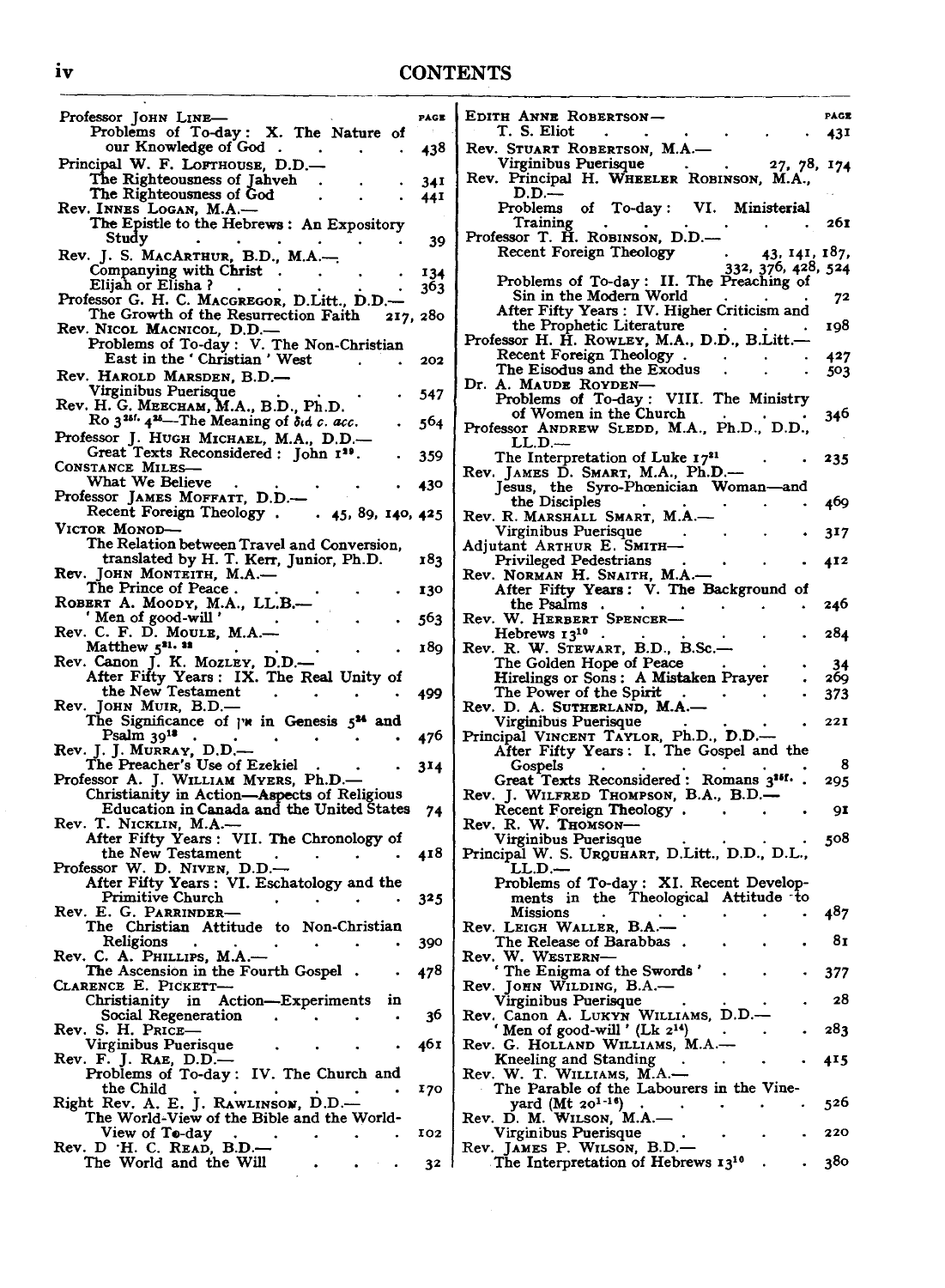## iv CONTENTS

| Professor JOHN LINE-                                                                             | PAGE |
|--------------------------------------------------------------------------------------------------|------|
| Problems of To-day: X. The Nature of<br>our Knowledge of God.                                    |      |
| Principal W. F. LOFTHOUSE, D.D.—                                                                 | 438  |
| The Righteousness of Jahveh                                                                      | 341  |
| The Righteousness of God                                                                         | 44 I |
| Rev. INNES LOGAN, M.A.-<br>The Epistle to the Hebrews: An Expository                             |      |
| Study                                                                                            | 39   |
| Rev. J. S. MACARTHUR, B.D., M.A.-                                                                |      |
| Companying with Christ.                                                                          | 134  |
| Elijah or Elisha?                                                                                | 303  |
| Professor G. H. C. MACGREGOR, D.Litt., D.D.-<br>The Growth of the Resurrection Faith<br>217, 280 |      |
|                                                                                                  |      |
| Rev. NICOL MACNICOL, D.D.—<br>Problems of To-day: V. The Non-Christian                           |      |
| East in the 'Christian' West                                                                     | 202  |
| Rev. HAROLD MARSDEN, B.D.-<br>Virginibus Puerisque                                               |      |
| Rev. H. G. MEECHAM, M.A., B.D., Ph.D.                                                            | 547  |
| Ro 3 <sup>251.</sup> 4 <sup>25</sup> -The Meaning of oid c. acc.                                 | 564  |
| Professor J. HUGH MICHAEL, M.A., D.D.-                                                           |      |
| Great Texts Reconsidered: John 129.                                                              | 359  |
| CONSTANCE MILES-<br>What We Believe                                                              |      |
| Professor JAMES MOFFATT, D.D.-                                                                   | 430  |
| Recent Foreign Theology . 45, 89, 140, 425                                                       |      |
| VICTOR MONOD-                                                                                    |      |
| The Relation between Travel and Conversion,                                                      | 183  |
| translated by H. T. Kerr, Junior, Ph.D.<br>Rev. JOHN MONTEITH, M.A.—                             |      |
| The Prince of Peace.                                                                             | 130  |
| ROBERT A. MOODY, M.A., LL.B.--                                                                   |      |
| ' Men of good-will '<br>Rev. C. F. D. Moule, M.A.-                                               | 563  |
| Matthew 521. 22                                                                                  | 189  |
| Rev. Canon J. K. MozLev, D.D.—<br>After Fifty Years: IX. The Real Unity of                       |      |
| the New Testament                                                                                |      |
| Rev. JOHN MUIR, B.D.—                                                                            | 499  |
| The Significance of $\mathbf{r}$ in Genesis $5^{\mathbf{M}}$ and                                 |      |
| Psalm 3918                                                                                       | 476  |
| Rev. J. J. MURRAY, D.D.—<br>The Preacher's Use of Ezekiel                                        | 314  |
| Professor A. J. WILLIAM MYERS, Ph.D.-                                                            |      |
| Christianity in Action-Aspects of Religious                                                      |      |
| Education in Canada and the United States                                                        | 74   |
| Rev. T. Nicklin, M.A.--<br>After Fifty Years: VII. The Chronology of                             |      |
| the New Testament                                                                                | 418  |
| Professor W. D. Niven, D.D.-                                                                     |      |
| After Fifty Years: VI. Eschatology and the<br>Primitive Church                                   | 325  |
| Rev. E. G. Parrinder-                                                                            |      |
| The Christian Attitude to Non-Christian                                                          |      |
| Religions<br>Rev. C. A. PHILLIPS, M.A.-                                                          | 390  |
| The Ascension in the Fourth Gospel.                                                              | 478  |
| CLARENCE E. PICKETT-                                                                             |      |
| Action—Experiments<br>Christianity in<br>ın                                                      |      |
| Social Regeneration<br>Rev. S. H. Price–                                                         | 36   |
| Virginibus Puerisque                                                                             | 46 I |
| Rev. F. J. RAE, D.D.—                                                                            |      |
| Problems of To-day: IV. The Church and                                                           |      |
| the Child<br>Right Rev. A. E. J. RAWLINSON, D.D.-                                                | 170  |
| The World-View of the Bible and the World-                                                       |      |
| View of To-day                                                                                   |      |
|                                                                                                  | 102  |
| Rev. D ·H. C. READ, B.D.-<br>The World and the Will                                              | 32   |

| EDITH ANNE ROBERTSON-<br>T. S. Eliot                                                                         | PACE       |
|--------------------------------------------------------------------------------------------------------------|------------|
| Rev. STUART ROBERTSON, M.A.-                                                                                 | 431        |
| Virginibus Puerisque<br>27, 78, 174<br>Rev. Principal H. WHEELER ROBINSON, M.A.,<br>D.D.                     |            |
| Problems of To-day: VI. Ministerial<br>Training                                                              | 261        |
| $\bullet$<br>Professor T. H. ROBINSON, D.D.-<br><b>Recent Foreign Theology</b><br>43, 141, 187,              |            |
| 332, 376, 428, 524<br>Problems of To-day: II. The Preaching of                                               |            |
| Sin in the Modern World<br>After Fifty Years: IV. Higher Criticism and                                       | 72         |
| the Prophetic Literature<br>Professor H. H. RowLEY, M.A., D.D., B.Litt.-<br>Recent Foreign Theology.         | 198<br>427 |
| The Eisodus and the Exodus<br>Dr. A. MAUDE ROYDEN-                                                           | 503        |
| Problems of To-day: VIII. The Ministry<br>of Women in the Church                                             | 346        |
| Professor ANDREW SLEDD, M.A., Ph.D., D.D.,<br>$LL.D.$ —                                                      |            |
| The Interpretation of Luke 1731<br>Rev. JAMES D. SMART, M.A., Ph.D.-<br>Jesus, the Syro-Phoenician Woman-and | 235        |
| the Disciples                                                                                                | 469        |
| Rev. R. MARSHALL SMART, M.A.-<br>Virginibus Puerisque                                                        | 317        |
| Adjutant ARTHUR E. SMITH-<br>Privileged Pedestrians                                                          | 412        |
| Rev. NORMAN H. SNAITH, M.A.-<br>After Fifty Years: V. The Background of                                      |            |
| the Psalms<br>Rev. W. HERBERT SPENCER-                                                                       | 246        |
| Hebrews $13^{10}$ .<br>Rev. R. W. STEWART, B.D., B.Sc.-                                                      | 284        |
| The Golden Hope of Peace<br>Hirelings or Sons: A Mistaken Prayer                                             | 34<br>269  |
| The Power of the Spirit<br>Rev. D. A. SUTHERLAND, M.A.-                                                      | 373        |
| Virginibus Puerisque                                                                                         | 221        |
| Principal VINCENT TAYLOR, Ph.D., D.D.—–<br>After Fifty Years: I. The Gospel and the                          |            |
| Gospels<br>Great Texts Reconsidered: Romans 3 <sup>161</sup> .                                               | 8<br>295   |
| Rev. J. WILFRED THOMPSON, B.A., B.D.-                                                                        |            |
| Recent Foreign Theology.<br>Rev. R. W. THOMSON-                                                              | 91         |
| Virginibus Puerisque<br>Principal W. S. URQUHART, D.Litt., D.D., D.L.,<br>LL.D.--                            | 508        |
| Problems of To-day: XI. Recent Develop-<br>ments in the Theological Attitude to                              |            |
| <b>Missions</b>                                                                                              | 487        |
| Rev. LEIGH WALLER, B.A.-<br>. The Release of Barabbas                                                        | 81         |
| W. WESTERN-<br>kev.<br>' The Enigma of the Swords'                                                           | 377        |
| Rev. JOHN WILDING, B.A.-<br>Virginibus Puerisque                                                             | 28         |
| Rev. Canon A. LUKYN WILLIAMS, D.D.-<br>'Men of good-will' (Lk 2 <sup>14</sup> )                              | 283        |
| $\bullet$<br>Rev. G. HOLLAND WILLIAMS, M.A.-                                                                 |            |
| Kneeling and Standing<br>Rev. W. T. WILLIAMS, M.A.-                                                          | 415        |
| The Parable of the Labourers in the Vine-<br>yard $(Mt 20^{1-16})$ .<br>Rev. D. M. WILSON, M.A.-             | 526        |
| Virginibus Puerisque                                                                                         | 220        |
| Rev. James P. Wilson, B.D.—<br>The Interpretation of Hebrews 1310                                            | 380        |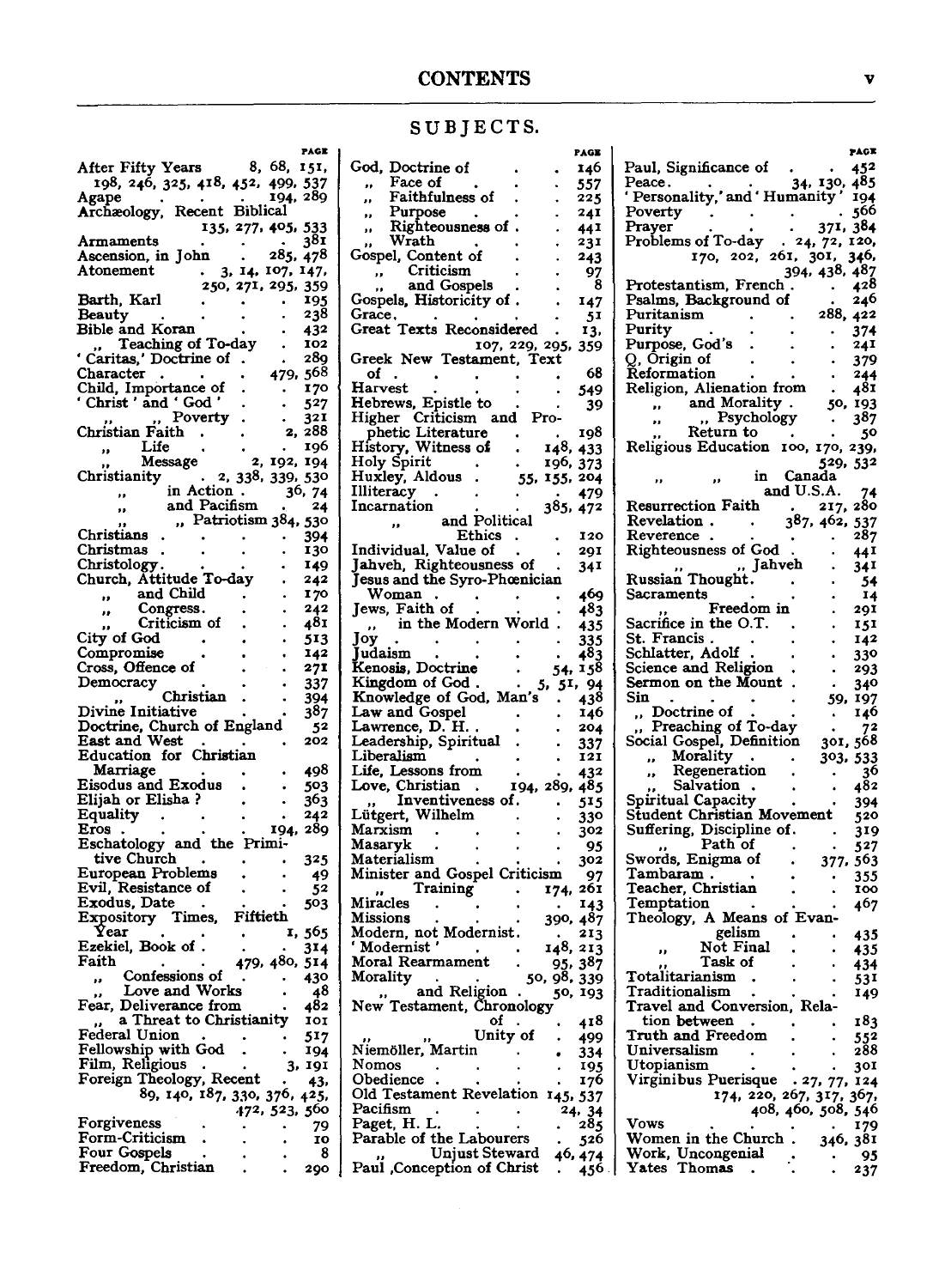|  |  |  |  |  |  |  | SUBJECTS. |  |
|--|--|--|--|--|--|--|-----------|--|
|--|--|--|--|--|--|--|-----------|--|

|                                    | PAGE                  |
|------------------------------------|-----------------------|
| After Fifty Years                  | 8, 68,<br>151,        |
| 198, 246, 325, 418, 452, 499, 537  |                       |
|                                    | 289<br>194.           |
| Agape                              |                       |
| Archaeology, Recent Biblical       |                       |
|                                    | 135, 277, 405,<br>533 |
| Armaments                          | 381                   |
| Ascension, in John                 | $\frac{1}{285,478}$   |
|                                    | 3, 14, 107, 147,      |
| Atonement                          |                       |
|                                    | 250, 271, 295, 359    |
| Barth, Karl                        | 195                   |
| Beauty                             | 238                   |
| Bible and Koran                    | 432                   |
|                                    |                       |
| Teaching of To-day<br>$\mathbf{r}$ | 102                   |
| Caritas,' Doctrine of              | 28q                   |
| Character                          | 568<br>479.           |
| Child, Importance of               | 170                   |
| 'Christ' and 'God'                 | 527                   |
|                                    |                       |
| " Poverty                          | 321                   |
| Christian Faith                    | 288<br>2,             |
| Life<br>,,                         | 196                   |
| Message                            | 2, 192, 194           |
| ,,                                 |                       |
| Christianity                       | 2, 338, 339, 530      |
| in Action.<br>,,                   | 36, 74                |
| and Pacifism<br>,,                 | 24                    |
| "Patriotism 384,                   | 530                   |
| Christians                         | 394                   |
| Christmas                          |                       |
|                                    | 130                   |
| Christology.                       | 149                   |
| Church, Attitude To-day            | 242                   |
| and Child<br>,,                    | 170                   |
| Congress.                          | 242                   |
| ,,<br>Criticism of                 |                       |
| ,,                                 | 481                   |
| City of God                        | 513                   |
| Compromise                         | 142                   |
|                                    |                       |
|                                    |                       |
| Cross, Offence of                  | 271                   |
| Democracy                          | 337                   |
| Christian<br>,,                    | 394                   |
| Divine Initiative                  | 387                   |
|                                    |                       |
| Doctrine, Church of England        | 52                    |
| East and West.                     | 202                   |
| Education for Christian            |                       |
| Marriage                           | 498                   |
| <b>Eisodus and Exodus</b>          | 503                   |
|                                    |                       |
| Elijah or Elisha?                  | 363                   |
| <b>Equality</b>                    | 242                   |
| Eros                               | 289<br>194,           |
| Eschatology and the Primi-         |                       |
| tive Church                        | 325                   |
|                                    |                       |
| European Problems                  | 49                    |
| Evil, Resistance of                | 52                    |
| Exodus, Date                       | 503                   |
| Expository Times,                  | Fiftieth              |
| Year                               | 1, 565                |
|                                    |                       |
| Ezekiel, Book of.                  | 314                   |
| Faith                              | 479, 480, 514         |
| Confessions of<br>,,               | 430<br>$\bullet$ .    |
| Love and Works                     | 48                    |
| Fear, Deliverance from             | 482                   |
|                                    | 101                   |
| a Threat to Christianity<br>,,     |                       |
| Federal Union                      | 517                   |
| Fellowship with God                | 194                   |
| Film, Religious                    | 191<br>3,             |
|                                    | 43,                   |
| Foreign Theology, Recent           |                       |
| 89, 140, 187, 330, 376, 425,       |                       |
|                                    | 472, 523, 560         |
| Forgiveness                        | 79                    |
| Form-Criticism                     | 10                    |
| Four Gospels                       | 8                     |
| Freedom, Christian                 | 290                   |

|                                                  | PAGE                  |
|--------------------------------------------------|-----------------------|
| God, Doctrine of                                 | 146                   |
| Face of<br>,,                                    | 557                   |
| Faithfulness of<br>                              | 225                   |
| Purpose<br>,,                                    | 241                   |
| Righteousness of<br>,,                           | 44 I                  |
| Wrath<br>,,                                      | 231                   |
| Gospel, Content of<br>Criticism                  | 243<br>97             |
| $\bullet$<br>and Gospels<br>,,                   | 8                     |
| Gospels, Historicity of                          | 147                   |
| Grace.                                           | 51                    |
| Texts Reconsidered<br>Great                      | 13,                   |
|                                                  | 107, 229, 295,<br>359 |
| Greek New Testament, Text                        |                       |
| οf                                               | 68                    |
| <b>Harvest</b>                                   | 549                   |
| Hebrews, Epistle to<br>Higher Criticism and Pro- | 39                    |
|                                                  | 198                   |
| phetic Literature<br>History, Witness of         | 148,<br>433           |
| Holy Spirit                                      | 196,<br>373           |
| Huxley, Aldous                                   | 55, 155,<br>204       |
| Illiteracy                                       | 479                   |
| Incarnation                                      | 385, 472              |
| and Political<br>,,                              |                       |
| <b>Ethics</b>                                    | 120                   |
| Individual, Value of<br>Jahveh, Righteousness of | 29I                   |
| Jesus and the Syro-Phœnician                     | 34 I                  |
| Woman                                            | 469                   |
| Jews, Faith of                                   | 483                   |
| in the Modern World<br>H.                        | 435                   |
| Joy                                              | 335                   |
| Judaism                                          | 483                   |
| Kenosis, Doctrine                                | 158<br>54,            |
| Kingdom of God.                                  | 5,<br>51, 94          |
| Knowledge of God, Man's<br>Law and Gospel        | 438<br>146            |
| Lawrence, D. H.                                  | 204                   |
| Leadership, Spiritual                            | 337                   |
| Liberalism                                       | 121                   |
| Life, Lessons from                               | 432                   |
| Love, Christian.                                 | 194, 289,<br>485      |
| Inventiveness of.                                | 515                   |
| Lütgert, Wilhelm                                 | 330                   |
| Marxism                                          | 302                   |
| Masaryk<br>Materialism                           | 95<br>302             |
| Minister and Gospel Criticism                    | 97                    |
| Training<br>,,                                   | 261<br>174.           |
| Miracles                                         | 143                   |
| Missions                                         | 390,<br>487           |
| Modern, not Modernist.                           | 213                   |
| ' Modernist '                                    | 148,<br>213           |
| Moral Rearmament                                 | 95.<br>387            |
| Morality<br>and Religion                         | 50, 98,<br>339        |
| $\bullet$<br>New Testament, Chronology           | 50, 193               |
| оf                                               | 418                   |
| Unity of                                         | 499                   |
| Niemöller, Martin                                | 334                   |
| Nomos                                            | 195                   |
| Obedience                                        | 176                   |
| Old Testament Revelation                         | 145, 537              |
| Pacifism                                         | 24, 34                |
| Paget, H. L.<br>Parable of the Labourers         | 285                   |
| Unjust Steward                                   | 526<br>46, 474        |
| Paul Conception of Christ                        | 456                   |
|                                                  |                       |

|                                                | PAGE               |
|------------------------------------------------|--------------------|
| Paul, Significance of                          | 452                |
| Peace .<br>34, 130, 485                        |                    |
| ' Personality,' and 'Humanity'                 | 194<br>566         |
| Poverty<br>Prayer<br>37I.                      | 384                |
| Problems of To-day<br>24, 72, 120,             |                    |
| 170, 202,<br>26I, 30I,                         | 346,               |
| 394, 438, 487                                  |                    |
| Protestantism, French                          | 428                |
| $\frac{1}{288}$<br>Psalms, Background of       | 246                |
| Puritanism                                     | 422                |
| Purity<br>Purpose, God's                       | 374<br>241         |
| Q, Origin of                                   | 379                |
| Reformation                                    | 244                |
| Religion, Alienation from<br>۰                 | 481                |
| and Morality.                                  | 50,<br>193         |
| Psychology                                     | 387                |
| Return to                                      | 50                 |
| Religious Education<br>100, 170,               | 239,               |
| 529.<br>Canada<br>in                           | 532                |
| and U.S.A.                                     | 74                 |
| Resurrection Faith<br>217,                     | 280                |
| Revelation .<br>387, 462,                      | 537                |
| Reverence.                                     | 287                |
| Righteousness of God                           | 44I                |
| Jahveh<br>н.                                   | 34I                |
| Russian Thought.                               | 54                 |
| Sacraments<br>Freedom in                       | 14                 |
| Sacrifice in the O.T.                          | 291<br>151         |
| St. Francis <i>.</i>                           | 142                |
| Schlatter, Adolf                               | 330                |
| Science and Religion                           | 293                |
| Sermon on the Mount<br>$\bullet$               | 340                |
| Sin                                            | 197<br>59,         |
| ., Doctrine of<br>, Preaching of To-day        | 140                |
|                                                | 72                 |
| Social Gospel, Definition<br>301,<br>Morality  | 568<br>303.<br>533 |
| <br>Regeneration<br>,,                         | 36                 |
| Salvation                                      | 482                |
| ŗ,<br>Spiritual Capacity                       | 394                |
| Student Christian Movement                     | 520                |
| Suffering, Discipline of.                      | 319                |
| Path of<br>,,                                  | 527                |
| Swords, Enigma of                              | 563<br>377.        |
| Tambaram .<br>Teacher, Christian               | 355<br>100         |
| Temptation                                     | 467                |
| Theology, A Means of Evan-                     |                    |
| gelism                                         | 435                |
| Not Final                                      | 435                |
| Task of                                        | 434                |
| Totalitarianism                                | 53 I               |
| Traditionalism<br>Travel and Conversion, Rela- | 149                |
| tion between                                   | 183                |
| Truth and Freedom                              | 552                |
| Universalism                                   | 288                |
| Utopianism                                     | 301                |
| Virginibus Puerisque . 27, 77, 124             |                    |
| 174, 220, 267, 317, 367,                       |                    |
| 408, 460, 508, 546                             |                    |
| Vows<br>Women in the Church.                   | 179                |
| 346,<br>Work, Uncongenial                      | 381                |
| $\mathbf{{Y}ates}$<br><b>Thomas</b>            | 95<br>237          |
|                                                |                    |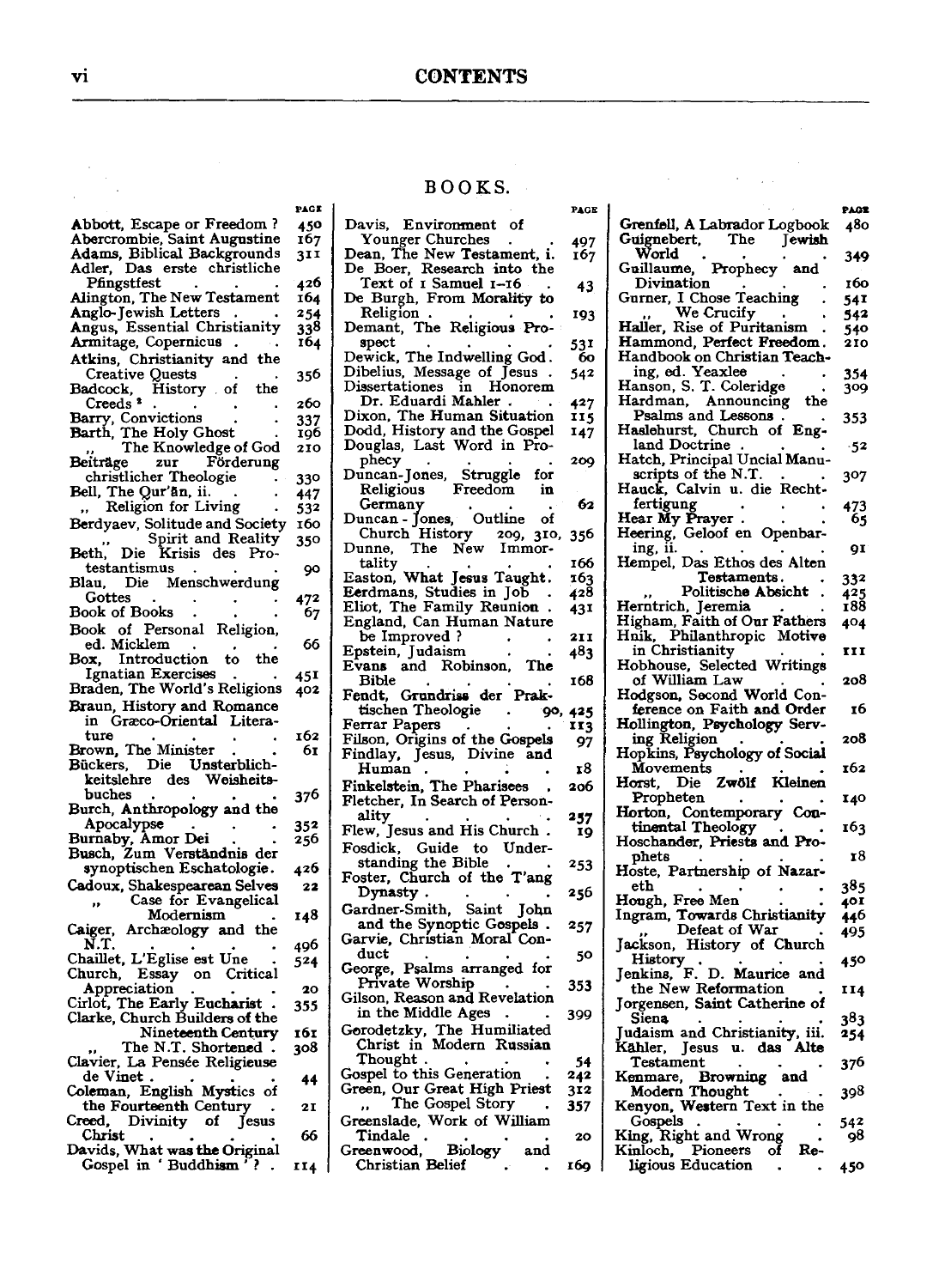#### BOOKS.

 $\cdots$ 

| Abbott, Escape or Freedom?<br>Abercrombie, Saint Augustine<br>Adams, Biblical Backgrounds         | 450        |                                                           |         |
|---------------------------------------------------------------------------------------------------|------------|-----------------------------------------------------------|---------|
|                                                                                                   |            | Davis.<br>Environment of                                  |         |
|                                                                                                   | 167        | Younger Churches                                          | 497     |
|                                                                                                   | 311        |                                                           | 167     |
| Adler, Das erste christliche                                                                      |            | Dean, The New Testament, i.<br>De Boer, Research into the |         |
| Pfingstfest                                                                                       | 426        | Text of 1 Samuel 1–16                                     |         |
|                                                                                                   |            |                                                           | 43      |
| Alington, The New Testament                                                                       | 164        | De Burgh, From Morality to                                |         |
| Anglo-Jewish Letters                                                                              | 254        | Religion.                                                 | 193     |
| Angus, Essential Christianity                                                                     | 338        | Demant, The Religious Pro-                                |         |
| Armitage, Copernicus                                                                              | 164        | spect                                                     | 53 I    |
| Atkins, Christianity and the                                                                      |            | Dewick, The Indwelling God.                               | 60      |
| Creative Quests<br>adcock, History of                                                             | 356        | Dibelius, Message of Jesus                                | 542     |
| Badcock,<br>the                                                                                   |            | Dissertationes in Honorem                                 |         |
| Creeds <sup>2</sup>                                                                               | 260        | Dr. Eduardi Mahler                                        | 427     |
| Barry, Convictions                                                                                |            | Dixon, The Human Situation                                | 115     |
|                                                                                                   | 337<br>196 | Dodd, History and the Gospel                              | 147     |
| Barth, The Holy Ghost.<br>,, The Knowledge of God                                                 |            | Douglas, Last Word in Pro-                                |         |
|                                                                                                   | 210        |                                                           | 209     |
| Beiträge<br>Förderung<br>zur                                                                      |            | phecy                                                     |         |
| christlicher Theologie                                                                            | 330        | Duncan-Jones, Struggle<br>for                             |         |
| Bell, The Qur'an, ii.                                                                             | 447        | $\rm{Fredom}$<br>Religious<br>in                          |         |
| Religion for Living<br>$\overline{\phantom{a}}$                                                   | 532        | Germany                                                   | 62      |
| Berdyaev, Solitude and Society                                                                    | 160        | Duncan - Jones, Outline of                                |         |
| Spirit and Reality                                                                                | 350        | Church History<br>209, 310,                               | 356     |
| Beth,<br>Die<br>Krisis des Pro-                                                                   |            | The New<br>Dunne,<br>Immor-                               |         |
| testantismus                                                                                      |            |                                                           | 166     |
| Blau, Die Menschwerdung                                                                           | 90         | tality<br>Easton, What Jesus Taught.                      | 163     |
|                                                                                                   |            | Eerdmans, Studies in Job                                  | 428     |
| Gottes                                                                                            | 472        | Eliot, The Family Reunion                                 | 431     |
| Book of Books                                                                                     | 67         | England, Can Human Nature                                 |         |
| Book of Personal Religion,                                                                        |            | be Improved ?                                             | 2I I    |
| ed. Micklem                                                                                       | 66         |                                                           |         |
| Box.<br>Introduction<br>the<br>to                                                                 |            | Epstein, Judaism                                          | 483     |
| Ignatian Exercises                                                                                | 45I        | The<br>Evans and Robinson,                                |         |
| Braden, The World's Religions                                                                     | 402        | Bible                                                     | 168     |
|                                                                                                   |            | Fendt, Grundriss der Prak-                                |         |
| Braun, History and Romance                                                                        |            | tischen Theologie                                         | 90, 425 |
| in Græco-Oriental Litera-                                                                         |            | Ferrar Papers                                             | 113     |
| ture                                                                                              | 162        | Filson, Origins of the Gospels                            | 97      |
| Brown, The Minister                                                                               | 61         | Findlay, Jesus, Divine and                                |         |
| Bückers, Die Unsterblich-                                                                         |            | Human                                                     | 18      |
| Weisheits-<br>keitslehre des                                                                      |            | Finkelstein, The Pharisees                                |         |
| buches                                                                                            | 376        |                                                           |         |
|                                                                                                   |            |                                                           | 206     |
|                                                                                                   |            | Fletcher, In Search of Person-                            |         |
| Burch, Anthropology and the                                                                       |            | ality                                                     | 257     |
| Apocalypse                                                                                        | 352        | Flew, Jesus and His Church.                               | 19      |
| Burnaby, Amor Dei                                                                                 | 256        | Guide to<br>Fosdick.<br>Under-                            |         |
| Busch, Zum Verständnis der                                                                        |            |                                                           | 253     |
| synoptischen Eschatologie.                                                                        | 426        | standing the Bible                                        |         |
| Cadoux, Shakespearean Selves                                                                      | 22         | Foster, Church of the T'ang                               |         |
| Case for Evangelical                                                                              |            | Dynasty.                                                  | 256     |
| Modernism                                                                                         | 148        | Gardner-Smith, Saint John                                 |         |
|                                                                                                   |            | and the Synoptic Gospels.                                 | 257     |
| Caiger, Archæology and the<br>N.T.                                                                | 496        | Garvie, Christian Moral Con-                              |         |
| Chaillet, L'Eglise est Une                                                                        | 524        | duct                                                      | 50      |
| Essay<br>on Critical                                                                              |            | George, Psalms arranged for                               |         |
| Church,                                                                                           |            | Private Worship                                           | 353     |
| Appreciation                                                                                      | 20         | Gilson, Reason and Revelation                             |         |
| Cirlot, The Early Eucharist                                                                       | 355        | in the Middle Ages                                        | 399     |
| Clarke, Church Builders of the                                                                    |            |                                                           |         |
| Nineteenth Century                                                                                | 161        |                                                           |         |
| The N.T. Shortened.                                                                               | 308        | Gorodetzky, The Humiliated<br>Christ in Modern Russian    |         |
|                                                                                                   |            | Thought .                                                 | 54      |
| de Vinet.                                                                                         | 44         | Gospel to this Generation                                 | 242     |
|                                                                                                   |            | Green, Our Great High Priest                              | 312     |
| the Fourteenth Century                                                                            | 21         | The Gospel Story                                          | 357     |
| Clavier, La Pensée Religieuse<br>Coleman, English Mystics of<br>Creed,<br>Divinity<br>of<br>Jesus |            | Greenslade, Work of William                               |         |
| Christ                                                                                            | 66         | Tindale                                                   | 20      |
| Davids, What was the Original<br>Gospel in 'Buddhism                                              |            | <b>Biology</b><br>Greenwood,<br>and<br>Christian Belief   | 169     |

| PAGE      |                                                            | PAGE       |
|-----------|------------------------------------------------------------|------------|
|           | Grenfell, A Labrador Logbook                               | 480        |
| 497       | Guignebert,<br>The<br>Jewish                               |            |
| 167       | World                                                      | 349        |
|           | Prophecy<br>Guillaume,<br>and<br>Divination                | 160        |
| 43        | Gurner, I Chose Teaching                                   |            |
|           | We Crucify                                                 | 54I        |
| 193       | Haller, Rise of Puritanism                                 | 542<br>540 |
| 531       | Hammond, Perfect Freedom.                                  | 210        |
| 60        |                                                            |            |
| 542       | Handbook on Christian Teach-<br>__ ing, ed. Yeaxlee        | 354        |
|           | Hanson, S. T. Coleridge                                    | 309        |
| 427       | Announcing<br>Hardman,<br>the                              |            |
| 115       | Psalms and Lessons.                                        | 353        |
| 147       | Haslehurst,<br>Church of Eng-                              |            |
|           | land Doctrine                                              | $-52$      |
| 209       | Hatch, Principal Uncial Manu-                              |            |
|           | scripts of the N.T.                                        | 307        |
|           | Hauck, Calvin u. die Recht-                                |            |
| 62        |                                                            | 473        |
|           |                                                            | 65         |
| 356       |                                                            | 91         |
| 166       | ing, ii.<br>Hempel, Das Ethos des Alten                    |            |
| 163       | Testaments.                                                | 332        |
| 428       | Politische Absicht                                         | 425        |
| 431       | Herntrich, Jeremia                                         | ī88        |
|           | Higham, Faith of Our Fathers                               | 404        |
| 21 I      | Philanthropic Motive<br>Hnik,                              |            |
| 483       | in Christianity                                            | <b>III</b> |
|           | Hobhouse, Selected Writings                                |            |
| 168       | of William Law                                             | 208        |
|           | Hodgson, Second World Con-                                 |            |
| 425       | ference on Faith and Order                                 | 16         |
| 113       | Hollington, Psychology Serv-<br>ring Religion              |            |
| 97        | Hopkins, Psychology of Social                              | 208        |
| х8        | Movements                                                  | 162        |
|           | Kleinen<br>Zwölf<br>Horst, Die                             |            |
| 206       | Propheten                                                  | 140        |
|           | Horton, Contemporary Con-                                  |            |
| 257<br>19 | tinental Theology                                          | 163        |
|           | Hoschander, Priests and Pro-                               |            |
|           | phets                                                      | 18         |
| 253       | Hoste, Partnership of Nazar-                               |            |
| 256       | eth                                                        | 385        |
|           | Hough, Free Men                                            | 401        |
| 257       | Ingram, Towards Christianity                               | 446        |
|           | Defeat of War<br>Jackson,                                  | 495        |
| 50        | History of Church                                          |            |
|           | Jenkins,                                                   | 450        |
| 353       | History<br>nkins, F. D. Maurice and<br>the New Reformation | 114        |
|           | Jorgensen, Saint Catherine of                              |            |
| 399       | Siena                                                      | 383        |
|           | Judaism and Christianity, iii.                             | 254        |
|           | Kähler,<br>Jesus<br>das<br>Alte<br>u.                      |            |
| 54        | Testament                                                  | 376        |
| 242       | Kenmare, Browni<br>Modern Thought<br>Browning<br>and       |            |
| 312       |                                                            | 398        |
| 357       | Western Text in the<br>Kenyon,                             |            |
|           | Gospels<br>King, Right and Wrong                           | 542<br>98  |
| 20        | $\overline{\textbf{of}}$<br>Pioneers<br>Re-<br>Kinloch,    |            |
| 169       | ligious Education                                          | 450        |
|           |                                                            |            |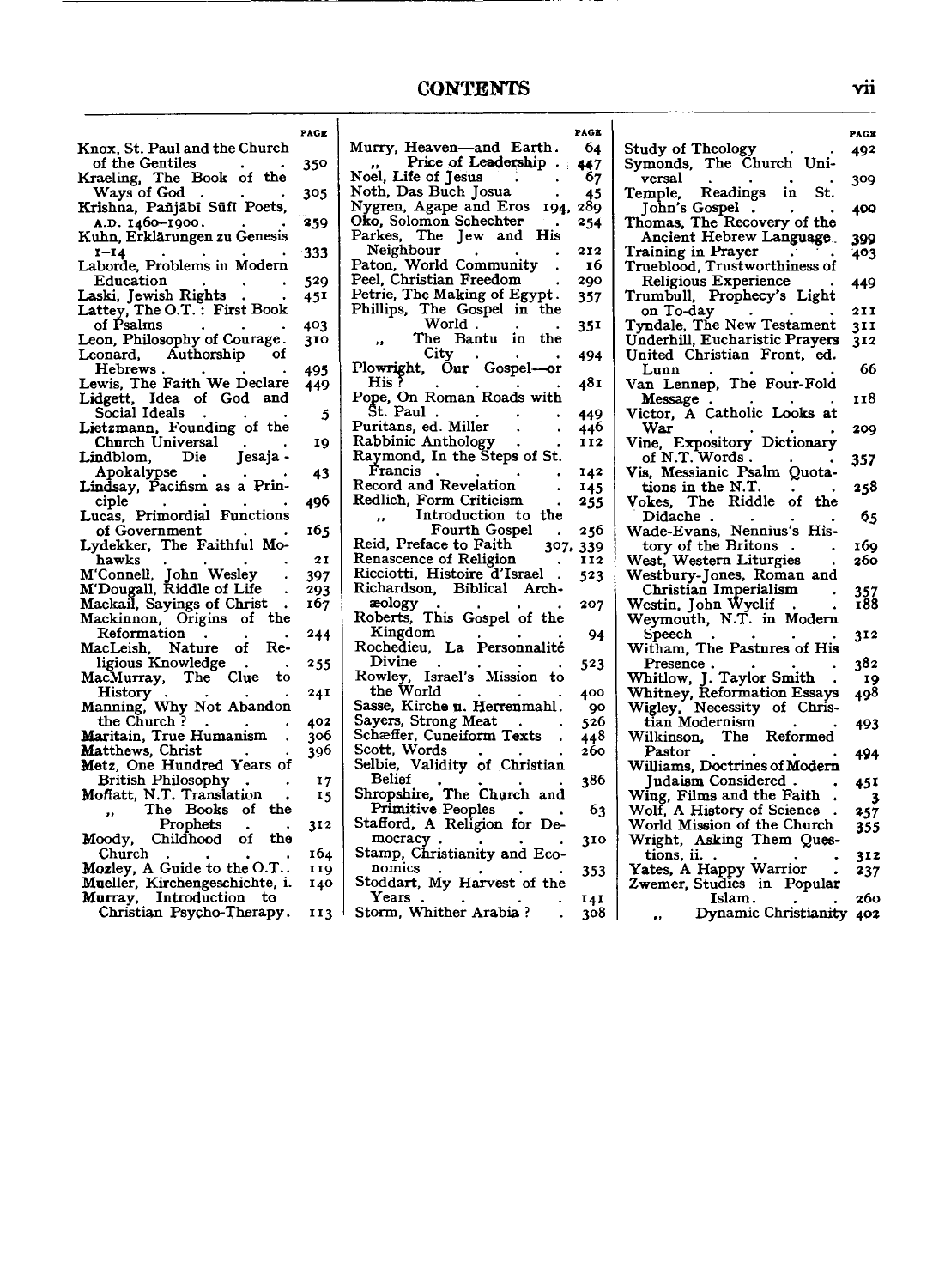**PAGB** 

|                                                                         | PAGE |
|-------------------------------------------------------------------------|------|
| Knox, St. Paul and the Church                                           |      |
| of the Gentiles                                                         | 350  |
| Kraeling, The Book of the                                               |      |
| Ways of God.                                                            | 305  |
| Krishna, Pañjābī Sūfī Poets,                                            |      |
| A.D. 1460-1900.                                                         | 259  |
| Kuhn, Erklärungen zu Genesis                                            |      |
| $r-14$                                                                  | 333  |
| Laborde, Problems in Modern                                             |      |
| Education                                                               | 529  |
|                                                                         | 451  |
| Laski, Jewish Rights<br>Lattey, The O.T. : First Book                   |      |
| of Psalms                                                               |      |
| Leon, Philosophy of Courage.                                            | 403  |
|                                                                         | 310  |
| Leonard, Authorship of                                                  |      |
| Hebrews.                                                                | 495  |
| Lewis, The Faith We Declare                                             | 449  |
| Lidgett, Idea of God and<br>Social Ideals                               |      |
|                                                                         | 5    |
| Lietzmann, Founding of the                                              |      |
| Church Universal<br>Lindblom, Die Jesaja -                              | 19   |
|                                                                         |      |
| Apokalypse                                                              | 43   |
| Lindsay, Pacifism as a Prin-                                            |      |
|                                                                         | 496  |
| ciple<br>Lucas, Primordial Functions                                    |      |
| of Government                                                           | 165  |
| Lydekker, The Faithful Mo-                                              |      |
| hawks                                                                   | 21   |
|                                                                         | 397  |
| nawks<br>M'Connell, John Wesley<br>M'Dougall, Riddle of Life            | 293  |
| Mackail, Sayings of Christ                                              | 167  |
| Mackinnon, Origins of the                                               |      |
| Reformation<br>$\blacksquare$                                           | 244  |
| MacLeish, Nature of Re-                                                 |      |
| ligious Knowledge<br>$\bullet$                                          | 255  |
| MacMurray, The Clue<br>to                                               |      |
|                                                                         | 241  |
| History<br>Manning, Why Not Abandon                                     |      |
| the Church ?                                                            | 402  |
| Maritain, True Humanism                                                 | 306  |
| Matthews, Christ                                                        | 396  |
| Metz, One Hundred Years of                                              |      |
|                                                                         |      |
| <b>British Philosophy</b><br>$\mathcal{A}$<br>Moffatt, N.T. Translation | 17   |
|                                                                         | 15   |
| The Books of the                                                        |      |
| Prophets<br>Moody, Childhood of the                                     | 312  |
|                                                                         |      |
| Church                                                                  | 164  |
| Mozley, A Guide to the O.T                                              | 119  |
| Mueller, Kirchengeschichte, i.                                          | 140  |
| Murray, Introduction to                                                 |      |
| Christian Psycho-Therapy.                                               | 113  |

| Murry, Heaven-and Earth.                                               | 64         |
|------------------------------------------------------------------------|------------|
| Price of Leadership.                                                   | 447        |
| Price of Le<br>Noel, Life of Jesus                                     | 67         |
| Noth, Das Buch Josua                                                   | 45         |
| Nygren, Agape and Eros<br>194.                                         | 289        |
| Oko, Solomon Schechter                                                 | 254        |
| Parkes, The Jew and His                                                |            |
| reignbour<br>Paton, World Community<br>Pool Christi                    | 212        |
|                                                                        | 16         |
| Peel, Christian Freedom                                                | 290        |
| Petrie, The Making of Egypt.                                           | 357        |
| Phillips, The Gospel in the                                            |            |
| World.                                                                 | 351        |
| The Bantu in the                                                       |            |
| City<br>Plowright, Our Gospel-or                                       | 494        |
| His ?                                                                  |            |
| Pope, On Roman Roads with                                              | 481        |
| Št. Paul                                                               |            |
| $\bullet$                                                              | 449        |
| Puritans, ed. Miller                                                   | 440<br>II2 |
| Rabbinic Anthology<br>Raymond, In the Steps of St.                     |            |
| Francis                                                                | 142        |
| Record and Revelation                                                  | 145        |
| Redlich, Form Criticism                                                |            |
| Introduction to the                                                    | 255        |
| <br>Fourth Gospel                                                      | 256        |
| Reid, Preface to Faith<br>307,                                         | 339        |
| Renascence of Religion                                                 | 112        |
| Ricciotti, Histoire d'Israel                                           | 523        |
| Richardson, Biblical Arch-                                             |            |
|                                                                        | 207        |
|                                                                        |            |
|                                                                        | 94         |
| Kingdom<br>Rochedieu, La Personnalité                                  |            |
| Divine                                                                 | 523        |
| Rowley, Israel's Mission to                                            |            |
| the World                                                              | 400        |
| Sasse, Kirche u. Herrenmahl.                                           | -90        |
| Sayers, Strong Meat                                                    | 526        |
| Schæffer, Cuneiform Texts                                              | 448        |
| Scott, Words                                                           | 260        |
| Selbie, Validity of Christian                                          |            |
| <b>Belief</b>                                                          | 386        |
| Shropshire, The Church and                                             |            |
| Primitive Peoples<br>Primitive Peoples<br>Stafford, A Religion for De- | -63        |
|                                                                        |            |
| mocracy                                                                | 310        |
| Stamp, Christianity and Eco-                                           |            |
| nomics                                                                 | 353        |
| Stoddart, My Harvest of the<br>Years                                   |            |
| $\mathbf{A}$ and $\mathbf{A}$ and $\mathbf{A}$ and $\mathbf{A}$        | 141        |

Years . . . Stomt, Whither Arabia ?

141 308

| <b>Study of Theology</b>                                                                           | 492          |
|----------------------------------------------------------------------------------------------------|--------------|
| Symonds, The Church Uni-<br>versal                                                                 | 309          |
| Temple, Readings in St.                                                                            |              |
| John's Gospel.<br>Thomas, The Recovery of the                                                      | 400          |
| Ancient Hebrew Language.                                                                           | 399          |
| Training in Prayer                                                                                 | 403          |
| Trueblood, Trustworthiness of                                                                      |              |
| Religious Experience                                                                               | 449          |
| Trumbull, Prophecy's Light                                                                         |              |
| on To-day                                                                                          | 2 I I<br>311 |
| Tyndale, The New Testament<br>Underhill, Eucharistic Prayers                                       | 312          |
| United Christian Front, ed.                                                                        |              |
| Lunn                                                                                               | 66           |
| Van Lennep, The Four-Fold                                                                          |              |
| Message                                                                                            | 118          |
| Victor, A Catholic Looks at                                                                        |              |
| War                                                                                                | 209          |
| Vine, Expository Dictionary                                                                        |              |
| of N.T. Words.                                                                                     | 357          |
| Vis, Messianic Psalm Quota-                                                                        | 258          |
|                                                                                                    |              |
| <b>Didache</b> .                                                                                   | 65           |
|                                                                                                    |              |
| Wade-Evans, Nennius's His-<br>tory of the Britons                                                  | 169          |
| West, Western Liturgies                                                                            | 260          |
| Westbury-Jones, Roman and                                                                          |              |
| Christian Imperialism                                                                              | 357<br>188   |
| Westin, John Ŵyclif<br>Weymouth, N.T. in Modern                                                    |              |
| Speech                                                                                             |              |
| Witham, The Pastures of His                                                                        | 312          |
|                                                                                                    | 382          |
|                                                                                                    | 19           |
|                                                                                                    | 498          |
| Presence<br>Whitlow, J. Taylor Smith<br>Whitney, Reformation Essays<br>Wigley, Necessity of Chris- |              |
| tian Modernism                                                                                     | 493          |
| The Reformed<br>Wilkinson,                                                                         |              |
| Pastor                                                                                             | 494          |
| Williams, Doctrines of Modern<br>Judaism Considered.                                               |              |
| Wing, Films and the Faith                                                                          | 45 I<br>3    |
| Wolf, A History of Science                                                                         | 257          |
| World Mission of the Church                                                                        | 355          |
| Wright, Asking Them Ques-                                                                          |              |
| tions, ii.                                                                                         | 312          |
| Yates, A Happy Warrior                                                                             | 237          |
| Zwemer, Studies in Popular                                                                         |              |
| Islam.<br>Islam.<br>Dynamic Christianity                                                           | 260          |
|                                                                                                    | 402          |

vii

**PAGK**